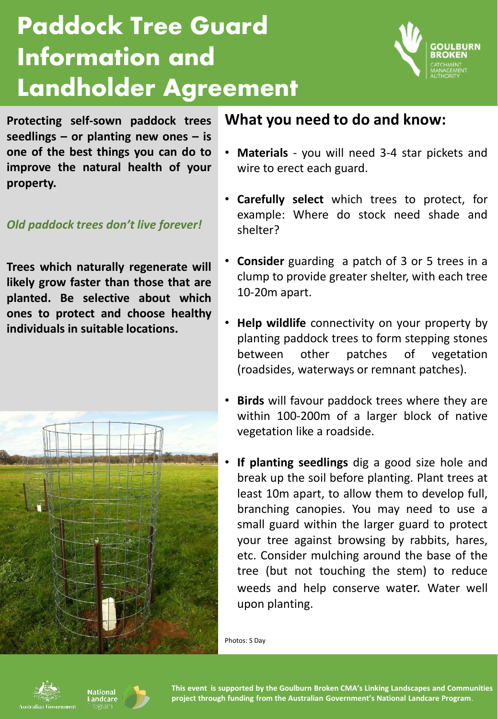## **Paddock Tree Guard Information and Landholder Agreement**



**Protecting self-sown paddock trees seedlings – or planting new ones – is one of the best things you can do to improve the natural health of your property.**

## *Old paddock trees don't live forever!*

**Trees which naturally regenerate will likely grow faster than those that are planted. Be selective about which ones to protect and choose healthy individuals in suitable locations.**



## **What you need to do and know:**

- **Materials** you will need 3-4 star pickets and wire to erect each guard.
- **Carefully select** which trees to protect, for example: Where do stock need shade and shelter?
- **Consider** guarding a patch of 3 or 5 trees in a clump to provide greater shelter, with each tree 10-20m apart.
- **Help wildlife** connectivity on your property by planting paddock trees to form stepping stones between other patches of vegetation (roadsides, waterways or remnant patches).
- **Birds** will favour paddock trees where they are within 100-200m of a larger block of native vegetation like a roadside.
- **If planting seedlings** dig a good size hole and break up the soil before planting. Plant trees at least 10m apart, to allow them to develop full, branching canopies. You may need to use a small guard within the larger guard to protect your tree against browsing by rabbits, hares, etc. Consider mulching around the base of the tree (but not touching the stem) to reduce weeds and help conserve water. Water well upon planting.

Photos: S Day





**This event is supported by the Goulburn Broken CMA's Linking Landscapes and Communities project through funding from the Australian Government's National Landcare Program**.